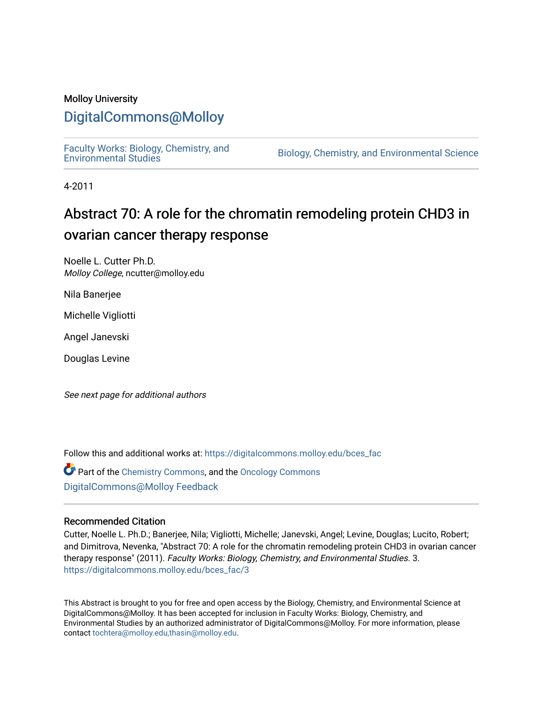#### Molloy University

### [DigitalCommons@Molloy](https://digitalcommons.molloy.edu/)

[Faculty Works: Biology, Chemistry, and](https://digitalcommons.molloy.edu/bces_fac) 

Biology, Chemistry, and Environmental Science

4-2011

## Abstract 70: A role for the chromatin remodeling protein CHD3 in ovarian cancer therapy response

Noelle L. Cutter Ph.D. Molloy College, ncutter@molloy.edu

Nila Banerjee

Michelle Vigliotti

Angel Janevski

Douglas Levine

See next page for additional authors

Follow this and additional works at: [https://digitalcommons.molloy.edu/bces\\_fac](https://digitalcommons.molloy.edu/bces_fac?utm_source=digitalcommons.molloy.edu%2Fbces_fac%2F3&utm_medium=PDF&utm_campaign=PDFCoverPages)

Part of the [Chemistry Commons,](https://network.bepress.com/hgg/discipline/131?utm_source=digitalcommons.molloy.edu%2Fbces_fac%2F3&utm_medium=PDF&utm_campaign=PDFCoverPages) and the [Oncology Commons](https://network.bepress.com/hgg/discipline/694?utm_source=digitalcommons.molloy.edu%2Fbces_fac%2F3&utm_medium=PDF&utm_campaign=PDFCoverPages) [DigitalCommons@Molloy Feedback](https://molloy.libwizard.com/f/dcfeedback)

#### Recommended Citation

Cutter, Noelle L. Ph.D.; Banerjee, Nila; Vigliotti, Michelle; Janevski, Angel; Levine, Douglas; Lucito, Robert; and Dimitrova, Nevenka, "Abstract 70: A role for the chromatin remodeling protein CHD3 in ovarian cancer therapy response" (2011). Faculty Works: Biology, Chemistry, and Environmental Studies. 3. [https://digitalcommons.molloy.edu/bces\\_fac/3](https://digitalcommons.molloy.edu/bces_fac/3?utm_source=digitalcommons.molloy.edu%2Fbces_fac%2F3&utm_medium=PDF&utm_campaign=PDFCoverPages)

This Abstract is brought to you for free and open access by the Biology, Chemistry, and Environmental Science at DigitalCommons@Molloy. It has been accepted for inclusion in Faculty Works: Biology, Chemistry, and Environmental Studies by an authorized administrator of DigitalCommons@Molloy. For more information, please contact [tochtera@molloy.edu,thasin@molloy.edu.](mailto:tochtera@molloy.edu,thasin@molloy.edu)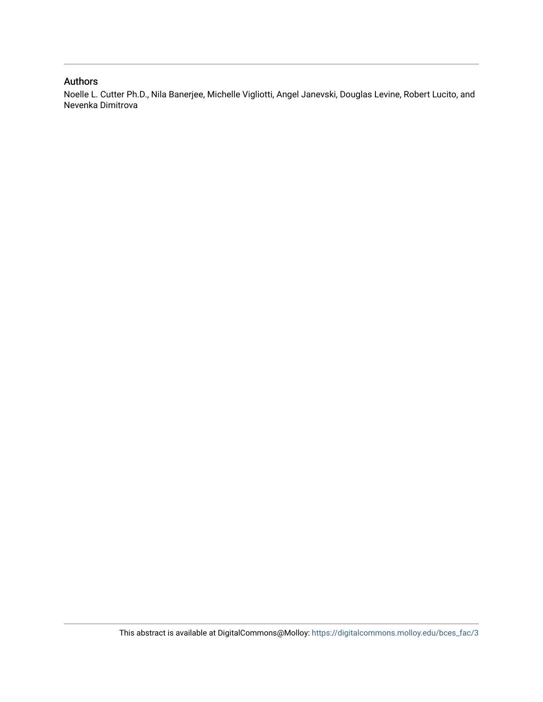#### Authors

Noelle L. Cutter Ph.D., Nila Banerjee, Michelle Vigliotti, Angel Janevski, Douglas Levine, Robert Lucito, and Nevenka Dimitrova